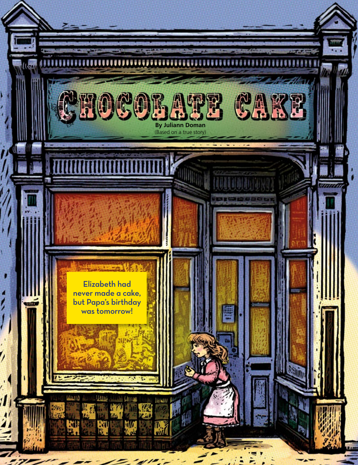